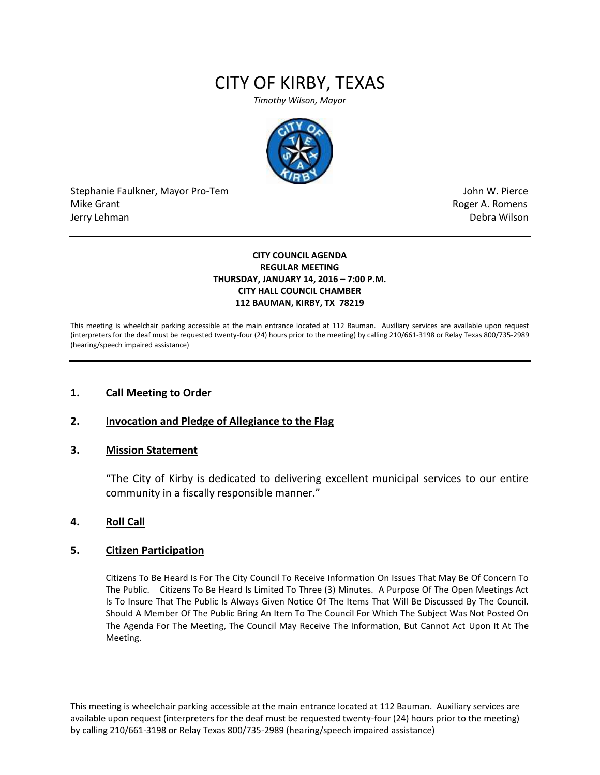# CITY OF KIRBY, TEXAS

*Timothy Wilson, Mayor*



Stephanie Faulkner, Mayor Pro-Tem John W. Pierce Mike Grant **Mike Grant** Roger A. Romens and Roger A. Romens and Roger A. Romens and Roger A. Romens and Roger A. Romens and Roger A. Romens and Roger A. Romens and Roger A. Romens and Roger A. Romens and Roger A. Romens an Jerry Lehman Debra Wilson

#### **CITY COUNCIL AGENDA REGULAR MEETING THURSDAY, JANUARY 14, 2016 – 7:00 P.M. CITY HALL COUNCIL CHAMBER 112 BAUMAN, KIRBY, TX 78219**

This meeting is wheelchair parking accessible at the main entrance located at 112 Bauman. Auxiliary services are available upon request (interpreters for the deaf must be requested twenty-four (24) hours prior to the meeting) by calling 210/661-3198 or Relay Texas 800/735-2989 (hearing/speech impaired assistance)

## **1. Call Meeting to Order**

## **2. Invocation and Pledge of Allegiance to the Flag**

#### **3. Mission Statement**

"The City of Kirby is dedicated to delivering excellent municipal services to our entire community in a fiscally responsible manner."

#### **4. Roll Call**

### **5. Citizen Participation**

Citizens To Be Heard Is For The City Council To Receive Information On Issues That May Be Of Concern To The Public. Citizens To Be Heard Is Limited To Three (3) Minutes. A Purpose Of The Open Meetings Act Is To Insure That The Public Is Always Given Notice Of The Items That Will Be Discussed By The Council. Should A Member Of The Public Bring An Item To The Council For Which The Subject Was Not Posted On The Agenda For The Meeting, The Council May Receive The Information, But Cannot Act Upon It At The Meeting.

This meeting is wheelchair parking accessible at the main entrance located at 112 Bauman. Auxiliary services are available upon request (interpreters for the deaf must be requested twenty-four (24) hours prior to the meeting) by calling 210/661-3198 or Relay Texas 800/735-2989 (hearing/speech impaired assistance)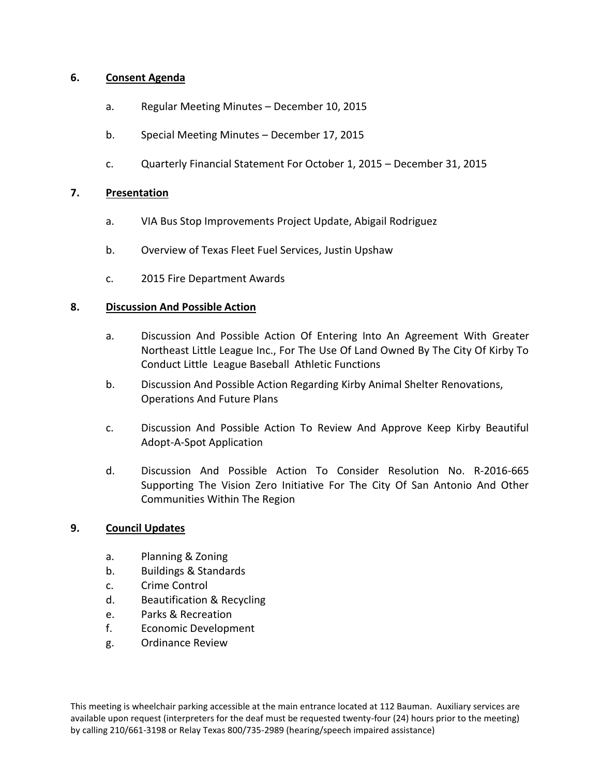# **6. Consent Agenda**

- a. Regular Meeting Minutes December 10, 2015
- b. Special Meeting Minutes December 17, 2015
- c. Quarterly Financial Statement For October 1, 2015 December 31, 2015

## **7. Presentation**

- a. VIA Bus Stop Improvements Project Update, Abigail Rodriguez
- b. Overview of Texas Fleet Fuel Services, Justin Upshaw
- c. 2015 Fire Department Awards

## **8. Discussion And Possible Action**

- a. Discussion And Possible Action Of Entering Into An Agreement With Greater Northeast Little League Inc., For The Use Of Land Owned By The City Of Kirby To Conduct Little League Baseball Athletic Functions
- b. Discussion And Possible Action Regarding Kirby Animal Shelter Renovations, Operations And Future Plans
- c. Discussion And Possible Action To Review And Approve Keep Kirby Beautiful Adopt-A-Spot Application
- d. Discussion And Possible Action To Consider Resolution No. R-2016-665 Supporting The Vision Zero Initiative For The City Of San Antonio And Other Communities Within The Region

## **9. Council Updates**

- a. Planning & Zoning
- b. Buildings & Standards
- c. Crime Control
- d. Beautification & Recycling
- e. Parks & Recreation
- f. Economic Development
- g. Ordinance Review